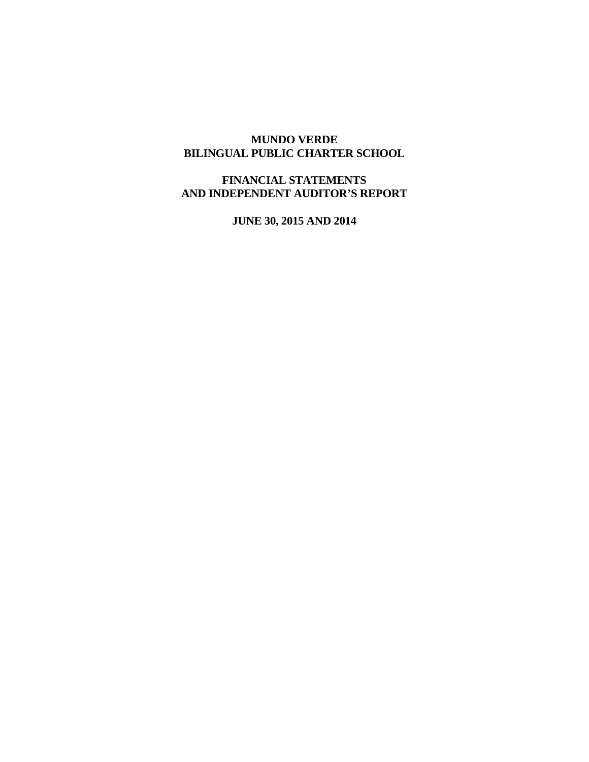## **MUNDO VERDE BILINGUAL PUBLIC CHARTER SCHOOL**

## **FINANCIAL STATEMENTS AND INDEPENDENT AUDITOR'S REPORT**

**JUNE 30, 2015 AND 2014**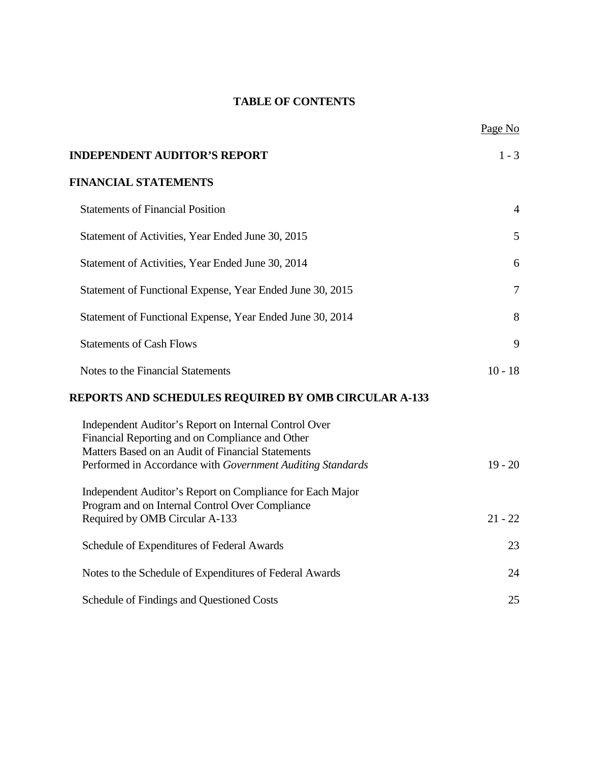## **TABLE OF CONTENTS**

|                                                                                                                                                               | Page No        |
|---------------------------------------------------------------------------------------------------------------------------------------------------------------|----------------|
| <b>INDEPENDENT AUDITOR'S REPORT</b>                                                                                                                           | $1 - 3$        |
| <b>FINANCIAL STATEMENTS</b>                                                                                                                                   |                |
| <b>Statements of Financial Position</b>                                                                                                                       | $\overline{4}$ |
| Statement of Activities, Year Ended June 30, 2015                                                                                                             | 5              |
| Statement of Activities, Year Ended June 30, 2014                                                                                                             | 6              |
| Statement of Functional Expense, Year Ended June 30, 2015                                                                                                     | $\tau$         |
| Statement of Functional Expense, Year Ended June 30, 2014                                                                                                     | 8              |
| <b>Statements of Cash Flows</b>                                                                                                                               | 9              |
| Notes to the Financial Statements                                                                                                                             | $10 - 18$      |
| REPORTS AND SCHEDULES REQUIRED BY OMB CIRCULAR A-133                                                                                                          |                |
| Independent Auditor's Report on Internal Control Over<br>Financial Reporting and on Compliance and Other<br>Matters Based on an Audit of Financial Statements |                |
| Performed in Accordance with Government Auditing Standards                                                                                                    | $19 - 20$      |
| Independent Auditor's Report on Compliance for Each Major<br>Program and on Internal Control Over Compliance<br>Required by OMB Circular A-133                | $21 - 22$      |
| Schedule of Expenditures of Federal Awards                                                                                                                    | 23             |
| Notes to the Schedule of Expenditures of Federal Awards                                                                                                       | 24             |
| Schedule of Findings and Questioned Costs                                                                                                                     | 25             |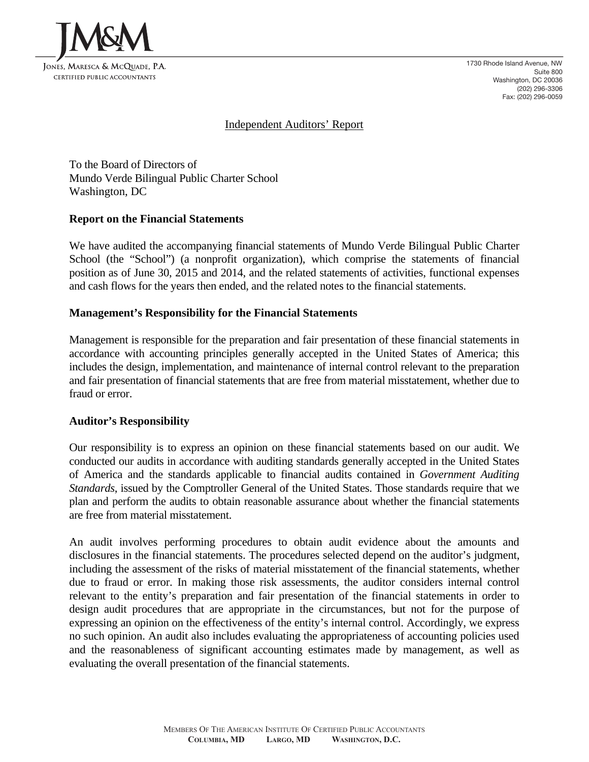

1730 Rhode Island Avenue, NW Suite 800 Washington, DC 20036 (202) 296-3306 Fax: (202) 296-0059

#### Independent Auditors' Report

To the Board of Directors of Mundo Verde Bilingual Public Charter School Washington, DC

#### **Report on the Financial Statements**

We have audited the accompanying financial statements of Mundo Verde Bilingual Public Charter School (the "School") (a nonprofit organization), which comprise the statements of financial position as of June 30, 2015 and 2014, and the related statements of activities, functional expenses and cash flows for the years then ended, and the related notes to the financial statements.

#### **Management's Responsibility for the Financial Statements**

Management is responsible for the preparation and fair presentation of these financial statements in accordance with accounting principles generally accepted in the United States of America; this includes the design, implementation, and maintenance of internal control relevant to the preparation and fair presentation of financial statements that are free from material misstatement, whether due to fraud or error.

#### **Auditor's Responsibility**

Our responsibility is to express an opinion on these financial statements based on our audit. We conducted our audits in accordance with auditing standards generally accepted in the United States of America and the standards applicable to financial audits contained in *Government Auditing Standards*, issued by the Comptroller General of the United States. Those standards require that we plan and perform the audits to obtain reasonable assurance about whether the financial statements are free from material misstatement.

An audit involves performing procedures to obtain audit evidence about the amounts and disclosures in the financial statements. The procedures selected depend on the auditor's judgment, including the assessment of the risks of material misstatement of the financial statements, whether due to fraud or error. In making those risk assessments, the auditor considers internal control relevant to the entity's preparation and fair presentation of the financial statements in order to design audit procedures that are appropriate in the circumstances, but not for the purpose of expressing an opinion on the effectiveness of the entity's internal control. Accordingly, we express no such opinion. An audit also includes evaluating the appropriateness of accounting policies used and the reasonableness of significant accounting estimates made by management, as well as evaluating the overall presentation of the financial statements.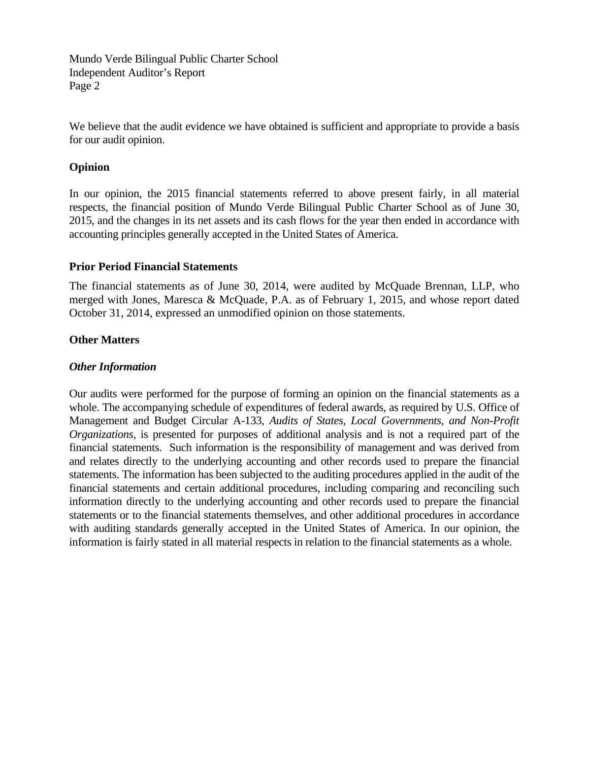Mundo Verde Bilingual Public Charter School Independent Auditor's Report Page 2

We believe that the audit evidence we have obtained is sufficient and appropriate to provide a basis for our audit opinion.

## **Opinion**

In our opinion, the 2015 financial statements referred to above present fairly, in all material respects, the financial position of Mundo Verde Bilingual Public Charter School as of June 30, 2015, and the changes in its net assets and its cash flows for the year then ended in accordance with accounting principles generally accepted in the United States of America.

### **Prior Period Financial Statements**

The financial statements as of June 30, 2014, were audited by McQuade Brennan, LLP, who merged with Jones, Maresca & McQuade, P.A. as of February 1, 2015, and whose report dated October 31, 2014, expressed an unmodified opinion on those statements.

### **Other Matters**

### *Other Information*

Our audits were performed for the purpose of forming an opinion on the financial statements as a whole. The accompanying schedule of expenditures of federal awards, as required by U.S. Office of Management and Budget Circular A-133, *Audits of States, Local Governments, and Non-Profit Organizations*, is presented for purposes of additional analysis and is not a required part of the financial statements. Such information is the responsibility of management and was derived from and relates directly to the underlying accounting and other records used to prepare the financial statements. The information has been subjected to the auditing procedures applied in the audit of the financial statements and certain additional procedures, including comparing and reconciling such information directly to the underlying accounting and other records used to prepare the financial statements or to the financial statements themselves, and other additional procedures in accordance with auditing standards generally accepted in the United States of America. In our opinion, the information is fairly stated in all material respects in relation to the financial statements as a whole.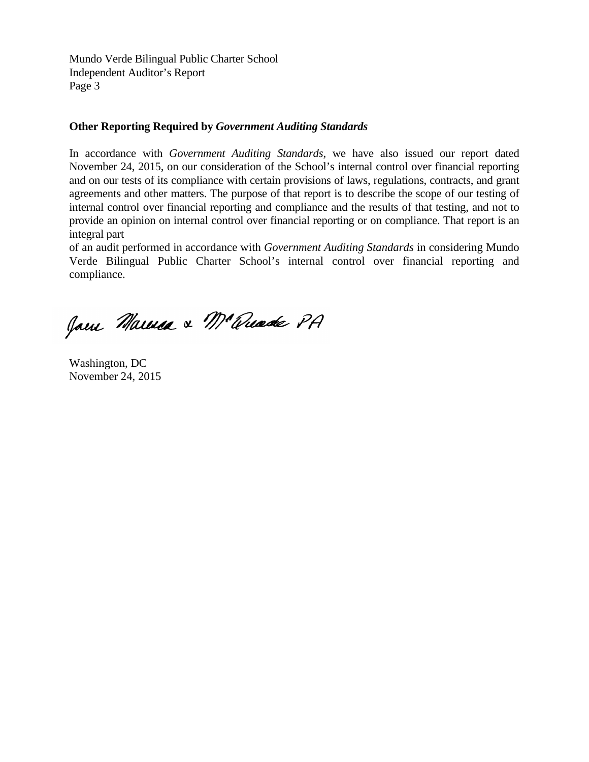Mundo Verde Bilingual Public Charter School Independent Auditor's Report Page 3

### **Other Reporting Required by** *Government Auditing Standards*

In accordance with *Government Auditing Standards*, we have also issued our report dated November 24, 2015, on our consideration of the School's internal control over financial reporting and on our tests of its compliance with certain provisions of laws, regulations, contracts, and grant agreements and other matters. The purpose of that report is to describe the scope of our testing of internal control over financial reporting and compliance and the results of that testing, and not to provide an opinion on internal control over financial reporting or on compliance. That report is an integral part

of an audit performed in accordance with *Government Auditing Standards* in considering Mundo Verde Bilingual Public Charter School's internal control over financial reporting and compliance.

Jam Marma & Ma acade PA

Washington, DC November 24, 2015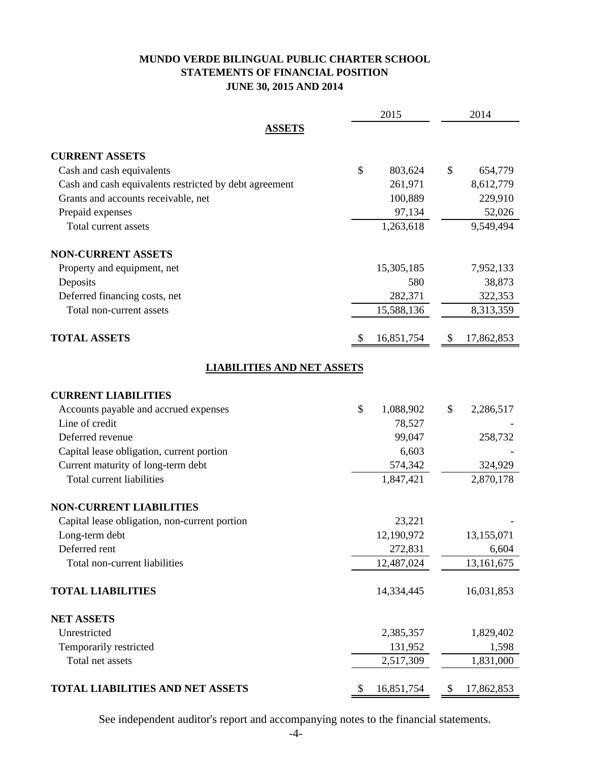## **MUNDO VERDE BILINGUAL PUBLIC CHARTER SCHOOL STATEMENTS OF FINANCIAL POSITION JUNE 30, 2015 AND 2014**

|                                                        | 2015             | 2014             |
|--------------------------------------------------------|------------------|------------------|
| <b>ASSETS</b>                                          |                  |                  |
| <b>CURRENT ASSETS</b>                                  |                  |                  |
| Cash and cash equivalents                              | \$<br>803,624    | \$<br>654,779    |
| Cash and cash equivalents restricted by debt agreement | 261,971          | 8,612,779        |
| Grants and accounts receivable, net                    | 100,889          | 229,910          |
| Prepaid expenses                                       | 97,134           | 52,026           |
| Total current assets                                   | 1,263,618        | 9,549,494        |
| <b>NON-CURRENT ASSETS</b>                              |                  |                  |
| Property and equipment, net                            | 15,305,185       | 7,952,133        |
| Deposits                                               | 580              | 38,873           |
| Deferred financing costs, net                          | 282,371          | 322,353          |
| Total non-current assets                               | 15,588,136       | 8,313,359        |
| <b>TOTAL ASSETS</b>                                    | 16,851,754       | \$<br>17,862,853 |
| <b>LIABILITIES AND NET ASSETS</b>                      |                  |                  |
|                                                        |                  |                  |
| <b>CURRENT LIABILITIES</b>                             |                  |                  |
| Accounts payable and accrued expenses                  | \$<br>1,088,902  | \$<br>2,286,517  |
| Line of credit                                         | 78,527           |                  |
| Deferred revenue                                       | 99,047           | 258,732          |
| Capital lease obligation, current portion              | 6,603            |                  |
| Current maturity of long-term debt                     | 574,342          | 324,929          |
| Total current liabilities                              | 1,847,421        | 2,870,178        |
| <b>NON-CURRENT LIABILITIES</b>                         |                  |                  |
| Capital lease obligation, non-current portion          | 23,221           |                  |
| Long-term debt                                         | 12,190,972       | 13,155,071       |
| Deferred rent                                          | 272,831          | 6,604            |
| Total non-current liabilities                          | 12,487,024       | 13,161,675       |
| <b>TOTAL LIABILITIES</b>                               | 14,334,445       | 16,031,853       |
| <b>NET ASSETS</b>                                      |                  |                  |
| Unrestricted                                           | 2,385,357        | 1,829,402        |
| Temporarily restricted                                 | 131,952          | 1,598            |
| Total net assets                                       | 2,517,309        | 1,831,000        |
| <b>TOTAL LIABILITIES AND NET ASSETS</b>                | \$<br>16,851,754 | \$<br>17,862,853 |

See independent auditor's report and accompanying notes to the financial statements.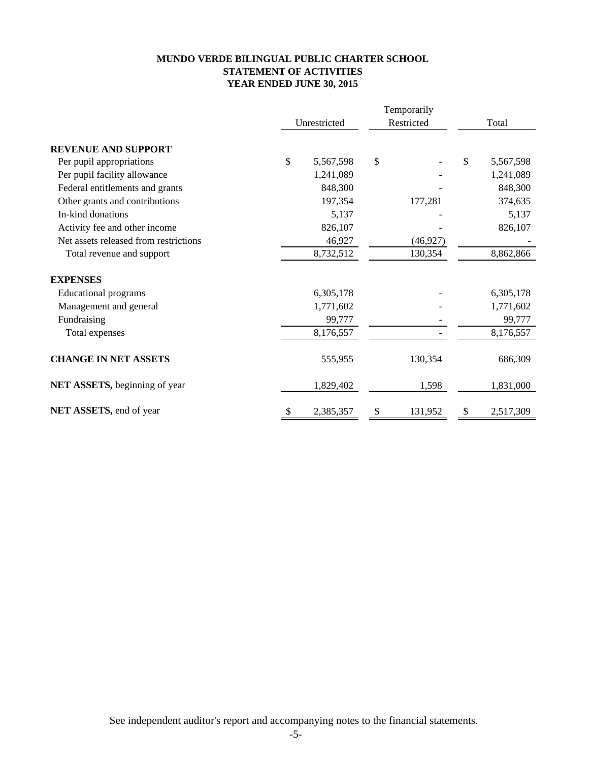### **MUNDO VERDE BILINGUAL PUBLIC CHARTER SCHOOL STATEMENT OF ACTIVITIES YEAR ENDED JUNE 30, 2015**

|                                       | Unrestricted<br>Restricted |    |           |    | Total     |
|---------------------------------------|----------------------------|----|-----------|----|-----------|
| <b>REVENUE AND SUPPORT</b>            |                            |    |           |    |           |
| Per pupil appropriations              | \$<br>5,567,598            | \$ |           | \$ | 5,567,598 |
| Per pupil facility allowance          | 1,241,089                  |    |           |    | 1,241,089 |
| Federal entitlements and grants       | 848,300                    |    |           |    | 848,300   |
| Other grants and contributions        | 197,354                    |    | 177,281   |    | 374,635   |
| In-kind donations                     | 5,137                      |    |           |    | 5,137     |
| Activity fee and other income         | 826,107                    |    |           |    | 826,107   |
| Net assets released from restrictions | 46,927                     |    | (46, 927) |    |           |
| Total revenue and support             | 8,732,512                  |    | 130,354   |    | 8,862,866 |
| <b>EXPENSES</b>                       |                            |    |           |    |           |
| <b>Educational programs</b>           | 6,305,178                  |    |           |    | 6,305,178 |
| Management and general                | 1,771,602                  |    |           |    | 1,771,602 |
| Fundraising                           | 99,777                     |    |           |    | 99,777    |
| Total expenses                        | 8,176,557                  |    |           |    | 8,176,557 |
| <b>CHANGE IN NET ASSETS</b>           | 555,955                    |    | 130,354   |    | 686,309   |
| NET ASSETS, beginning of year         | 1,829,402                  |    | 1,598     |    | 1,831,000 |
| NET ASSETS, end of year               | \$<br>2,385,357            | \$ | 131,952   | \$ | 2,517,309 |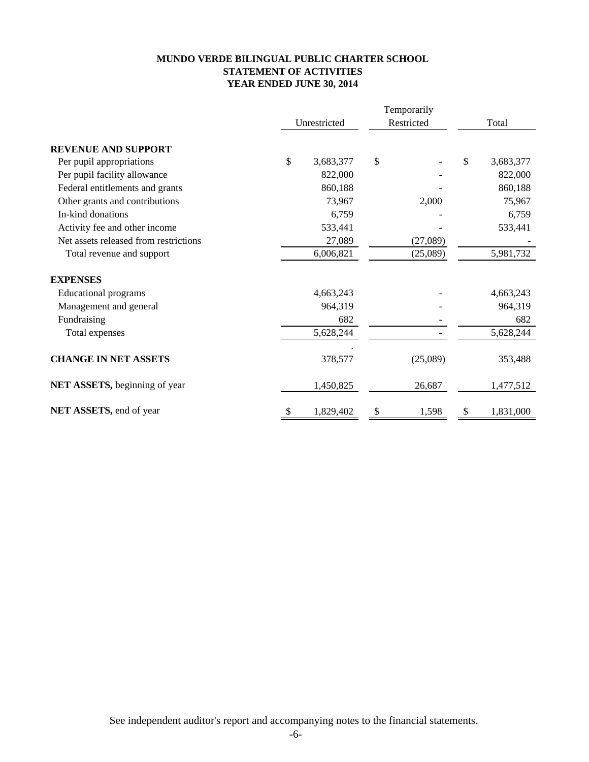### **MUNDO VERDE BILINGUAL PUBLIC CHARTER SCHOOL STATEMENT OF ACTIVITIES YEAR ENDED JUNE 30, 2014**

|                                       |    | Temporarily  |    |            |    |           |
|---------------------------------------|----|--------------|----|------------|----|-----------|
|                                       |    | Unrestricted |    | Restricted |    | Total     |
| <b>REVENUE AND SUPPORT</b>            |    |              |    |            |    |           |
| Per pupil appropriations              | \$ | 3,683,377    | \$ |            | \$ | 3,683,377 |
| Per pupil facility allowance          |    | 822,000      |    |            |    | 822,000   |
| Federal entitlements and grants       |    | 860,188      |    |            |    | 860,188   |
| Other grants and contributions        |    | 73,967       |    | 2,000      |    | 75,967    |
| In-kind donations                     |    | 6,759        |    |            |    | 6,759     |
| Activity fee and other income         |    | 533,441      |    |            |    | 533,441   |
| Net assets released from restrictions |    | 27,089       |    | (27,089)   |    |           |
| Total revenue and support             |    | 6,006,821    |    | (25,089)   |    | 5,981,732 |
| <b>EXPENSES</b>                       |    |              |    |            |    |           |
| <b>Educational programs</b>           |    | 4,663,243    |    |            |    | 4,663,243 |
| Management and general                |    | 964,319      |    |            |    | 964,319   |
| Fundraising                           |    | 682          |    |            |    | 682       |
| Total expenses                        |    | 5,628,244    |    |            |    | 5,628,244 |
| <b>CHANGE IN NET ASSETS</b>           |    | 378,577      |    | (25,089)   |    | 353,488   |
| NET ASSETS, beginning of year         |    | 1,450,825    |    | 26,687     |    | 1,477,512 |
| NET ASSETS, end of year               | S  | 1,829,402    | \$ | 1,598      | \$ | 1,831,000 |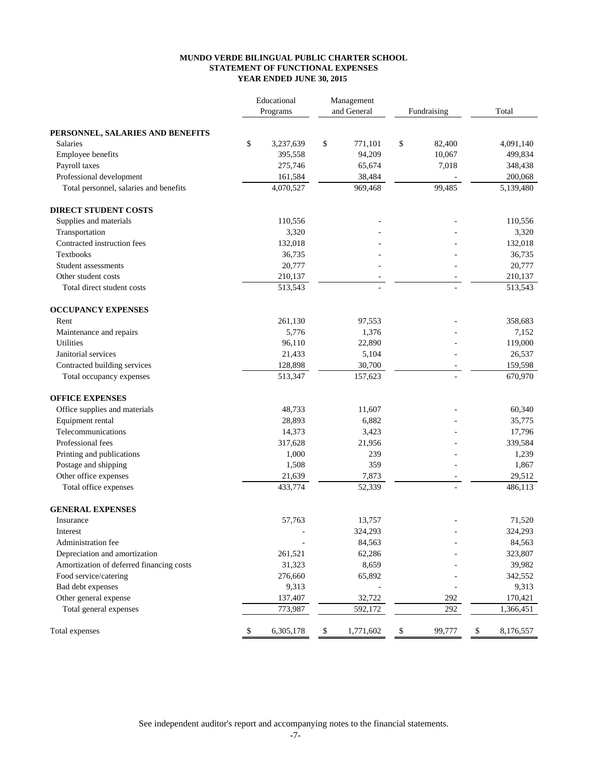#### **YEAR ENDED JUNE 30, 2015 STATEMENT OF FUNCTIONAL EXPENSES MUNDO VERDE BILINGUAL PUBLIC CHARTER SCHOOL**

|                                          |              | Educational | Management |             |              |                 |
|------------------------------------------|--------------|-------------|------------|-------------|--------------|-----------------|
|                                          |              | Programs    |            | and General | Fundraising  | Total           |
| PERSONNEL, SALARIES AND BENEFITS         |              |             |            |             |              |                 |
| <b>Salaries</b>                          | \$           | 3,237,639   | \$         | 771,101     | \$<br>82,400 | 4,091,140       |
| Employee benefits                        |              | 395,558     |            | 94,209      | 10,067       | 499,834         |
| Payroll taxes                            |              | 275,746     |            | 65,674      | 7,018        | 348,438         |
| Professional development                 |              | 161,584     |            | 38,484      |              | 200,068         |
| Total personnel, salaries and benefits   |              | 4,070,527   |            | 969,468     | 99,485       | 5,139,480       |
| <b>DIRECT STUDENT COSTS</b>              |              |             |            |             |              |                 |
| Supplies and materials                   |              | 110,556     |            |             |              | 110,556         |
| Transportation                           |              | 3,320       |            |             |              | 3,320           |
| Contracted instruction fees              |              | 132,018     |            |             |              | 132,018         |
| <b>Textbooks</b>                         |              | 36,735      |            |             |              | 36,735          |
| Student assessments                      |              | 20,777      |            |             |              | 20,777          |
| Other student costs                      |              | 210,137     |            |             |              | 210,137         |
| Total direct student costs               |              | 513,543     |            |             |              | 513,543         |
| <b>OCCUPANCY EXPENSES</b>                |              |             |            |             |              |                 |
| Rent                                     |              | 261,130     |            | 97,553      |              | 358,683         |
| Maintenance and repairs                  |              | 5,776       |            | 1,376       |              | 7,152           |
| <b>Utilities</b>                         |              | 96,110      |            | 22,890      |              | 119,000         |
| Janitorial services                      |              | 21,433      |            | 5,104       |              | 26,537          |
| Contracted building services             |              | 128,898     |            | 30,700      |              | 159,598         |
| Total occupancy expenses                 |              | 513,347     |            | 157,623     |              | 670,970         |
| <b>OFFICE EXPENSES</b>                   |              |             |            |             |              |                 |
| Office supplies and materials            |              | 48,733      |            | 11,607      |              | 60,340          |
| Equipment rental                         |              | 28,893      |            | 6,882       |              | 35,775          |
| Telecommunications                       |              | 14,373      |            | 3,423       |              | 17,796          |
| Professional fees                        |              | 317,628     |            | 21,956      |              | 339,584         |
| Printing and publications                |              | 1,000       |            | 239         |              | 1,239           |
| Postage and shipping                     |              | 1,508       |            | 359         |              | 1,867           |
| Other office expenses                    |              | 21,639      |            | 7,873       |              | 29,512          |
| Total office expenses                    |              | 433,774     |            | 52,339      |              | 486,113         |
| <b>GENERAL EXPENSES</b>                  |              |             |            |             |              |                 |
| Insurance                                |              | 57,763      |            | 13,757      |              | 71,520          |
| Interest                                 |              |             |            | 324,293     |              | 324,293         |
| Administration fee                       |              |             |            | 84,563      |              | 84,563          |
| Depreciation and amortization            |              | 261,521     |            | 62,286      |              | 323,807         |
| Amortization of deferred financing costs |              | 31,323      |            | 8,659       |              | 39,982          |
| Food service/catering                    |              | 276,660     |            | 65,892      |              | 342,552         |
| Bad debt expenses                        |              | 9,313       |            |             |              | 9,313           |
| Other general expense                    |              | 137,407     |            | 32,722      | 292          | 170,421         |
| Total general expenses                   |              | 773,987     |            | 592,172     | 292          | 1,366,451       |
| Total expenses                           | <sup>2</sup> | 6,305,178   | \$         | 1,771,602   | \$<br>99,777 | \$<br>8,176,557 |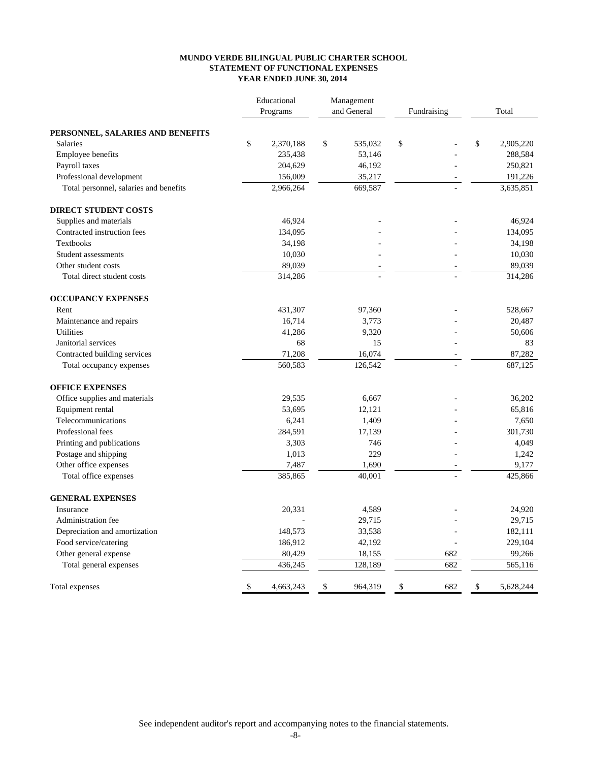#### **MUNDO VERDE BILINGUAL PUBLIC CHARTER SCHOOL STATEMENT OF FUNCTIONAL EXPENSES YEAR ENDED JUNE 30, 2014**

|                                        | Educational     | Management |             |             |                 |  |  |  |  |
|----------------------------------------|-----------------|------------|-------------|-------------|-----------------|--|--|--|--|
|                                        | Programs        |            | and General | Fundraising | Total           |  |  |  |  |
| PERSONNEL, SALARIES AND BENEFITS       |                 |            |             |             |                 |  |  |  |  |
| Salaries                               | \$<br>2,370,188 | \$         | 535,032     | \$          | \$<br>2,905,220 |  |  |  |  |
| Employee benefits                      | 235,438         |            | 53,146      |             | 288,584         |  |  |  |  |
| Payroll taxes                          | 204,629         |            | 46,192      |             | 250,821         |  |  |  |  |
| Professional development               | 156,009         |            | 35,217      |             | 191,226         |  |  |  |  |
| Total personnel, salaries and benefits | 2,966,264       |            | 669,587     |             | 3,635,851       |  |  |  |  |
| <b>DIRECT STUDENT COSTS</b>            |                 |            |             |             |                 |  |  |  |  |
| Supplies and materials                 | 46,924          |            |             |             | 46.924          |  |  |  |  |
| Contracted instruction fees            | 134,095         |            |             |             | 134,095         |  |  |  |  |
| <b>Textbooks</b>                       | 34,198          |            |             |             | 34,198          |  |  |  |  |
| Student assessments                    | 10,030          |            |             |             | 10,030          |  |  |  |  |
| Other student costs                    | 89,039          |            |             |             | 89,039          |  |  |  |  |
| Total direct student costs             | 314,286         |            |             |             | 314,286         |  |  |  |  |
| <b>OCCUPANCY EXPENSES</b>              |                 |            |             |             |                 |  |  |  |  |
| Rent                                   | 431,307         |            | 97,360      |             | 528,667         |  |  |  |  |
| Maintenance and repairs                | 16,714          |            | 3,773       |             | 20,487          |  |  |  |  |
| <b>Utilities</b>                       | 41,286          |            | 9,320       |             | 50,606          |  |  |  |  |
| Janitorial services                    | 68              |            | 15          |             | 83              |  |  |  |  |
| Contracted building services           | 71,208          |            | 16,074      |             | 87,282          |  |  |  |  |
| Total occupancy expenses               | 560,583         |            | 126,542     |             | 687,125         |  |  |  |  |
| <b>OFFICE EXPENSES</b>                 |                 |            |             |             |                 |  |  |  |  |
| Office supplies and materials          | 29,535          |            | 6,667       |             | 36,202          |  |  |  |  |
| Equipment rental                       | 53,695          |            | 12,121      |             | 65,816          |  |  |  |  |
| Telecommunications                     | 6,241           |            | 1,409       |             | 7,650           |  |  |  |  |
| Professional fees                      | 284,591         |            | 17,139      |             | 301,730         |  |  |  |  |
| Printing and publications              | 3,303           |            | 746         |             | 4,049           |  |  |  |  |
| Postage and shipping                   | 1,013           |            | 229         |             | 1,242           |  |  |  |  |
| Other office expenses                  | 7,487           |            | 1,690       |             | 9,177           |  |  |  |  |
| Total office expenses                  | 385,865         |            | 40,001      |             | 425,866         |  |  |  |  |
| <b>GENERAL EXPENSES</b>                |                 |            |             |             |                 |  |  |  |  |
| Insurance                              | 20,331          |            | 4,589       |             | 24,920          |  |  |  |  |
| Administration fee                     |                 |            | 29,715      |             | 29,715          |  |  |  |  |
| Depreciation and amortization          | 148,573         |            | 33,538      |             | 182,111         |  |  |  |  |
| Food service/catering                  | 186,912         |            | 42,192      |             | 229,104         |  |  |  |  |
| Other general expense                  | 80,429          |            | 18,155      | 682         | 99,266          |  |  |  |  |
| Total general expenses                 | 436,245         |            | 128,189     | 682         | 565,116         |  |  |  |  |
| Total expenses                         | \$<br>4,663,243 | \$         | 964,319     | \$<br>682   | \$<br>5,628,244 |  |  |  |  |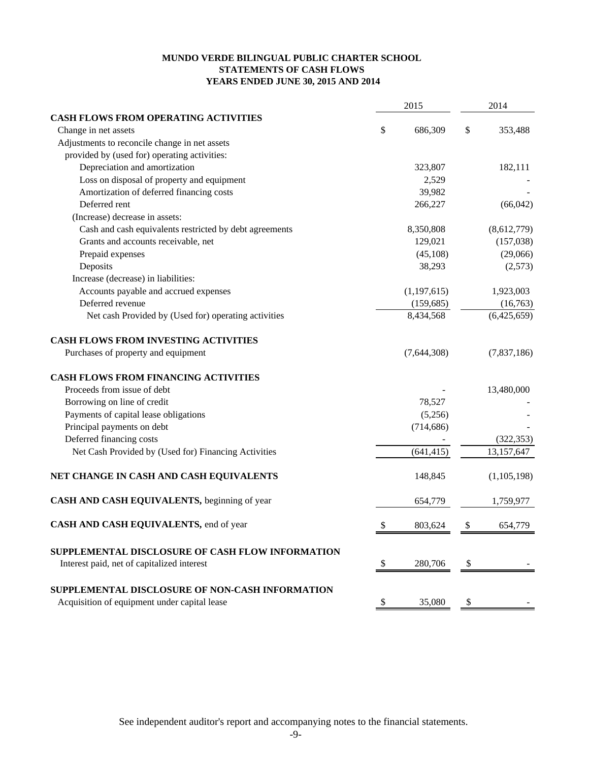#### **MUNDO VERDE BILINGUAL PUBLIC CHARTER SCHOOL STATEMENTS OF CASH FLOWS YEARS ENDED JUNE 30, 2015 AND 2014**

|                                                         | 2015          | 2014          |
|---------------------------------------------------------|---------------|---------------|
| <b>CASH FLOWS FROM OPERATING ACTIVITIES</b>             |               |               |
| Change in net assets                                    | \$<br>686,309 | \$<br>353,488 |
| Adjustments to reconcile change in net assets           |               |               |
| provided by (used for) operating activities:            |               |               |
| Depreciation and amortization                           | 323,807       | 182,111       |
| Loss on disposal of property and equipment              | 2,529         |               |
| Amortization of deferred financing costs                | 39,982        |               |
| Deferred rent                                           | 266,227       | (66,042)      |
| (Increase) decrease in assets:                          |               |               |
| Cash and cash equivalents restricted by debt agreements | 8,350,808     | (8,612,779)   |
| Grants and accounts receivable, net                     | 129,021       | (157, 038)    |
| Prepaid expenses                                        | (45, 108)     | (29,066)      |
| Deposits                                                | 38,293        | (2,573)       |
| Increase (decrease) in liabilities:                     |               |               |
| Accounts payable and accrued expenses                   | (1, 197, 615) | 1,923,003     |
| Deferred revenue                                        | (159, 685)    | (16,763)      |
| Net cash Provided by (Used for) operating activities    | 8,434,568     | (6,425,659)   |
| <b>CASH FLOWS FROM INVESTING ACTIVITIES</b>             |               |               |
| Purchases of property and equipment                     | (7,644,308)   | (7,837,186)   |
| <b>CASH FLOWS FROM FINANCING ACTIVITIES</b>             |               |               |
| Proceeds from issue of debt                             |               | 13,480,000    |
| Borrowing on line of credit                             | 78,527        |               |
| Payments of capital lease obligations                   | (5,256)       |               |
| Principal payments on debt                              | (714, 686)    |               |
| Deferred financing costs                                |               | (322, 353)    |
| Net Cash Provided by (Used for) Financing Activities    | (641, 415)    | 13,157,647    |
| NET CHANGE IN CASH AND CASH EQUIVALENTS                 | 148,845       | (1,105,198)   |
| CASH AND CASH EQUIVALENTS, beginning of year            | 654,779       | 1,759,977     |
| CASH AND CASH EQUIVALENTS, end of year                  | \$<br>803,624 | \$<br>654,779 |
| SUPPLEMENTAL DISCLOSURE OF CASH FLOW INFORMATION        |               |               |
| Interest paid, net of capitalized interest              | \$<br>280,706 | \$            |
| SUPPLEMENTAL DISCLOSURE OF NON-CASH INFORMATION         |               |               |
| Acquisition of equipment under capital lease            | \$<br>35,080  | \$            |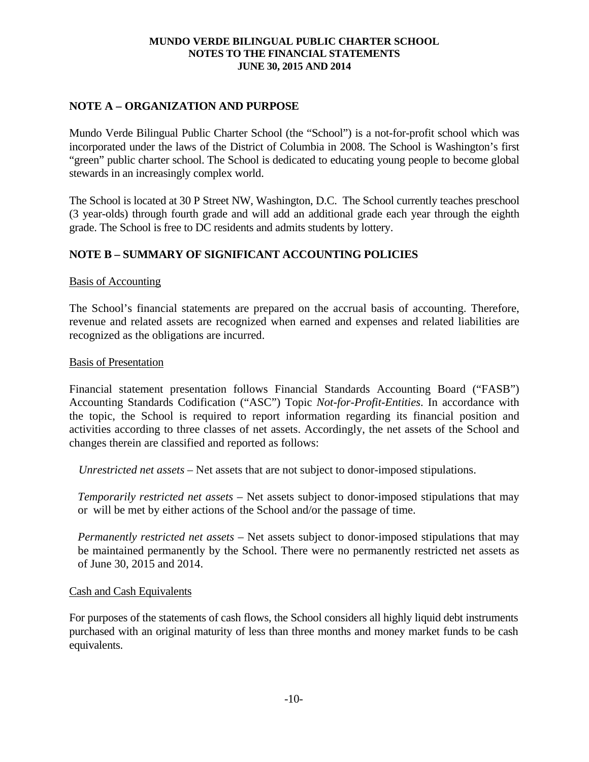## **NOTE A – ORGANIZATION AND PURPOSE**

Mundo Verde Bilingual Public Charter School (the "School") is a not-for-profit school which was incorporated under the laws of the District of Columbia in 2008. The School is Washington's first "green" public charter school. The School is dedicated to educating young people to become global stewards in an increasingly complex world.

The School is located at 30 P Street NW, Washington, D.C. The School currently teaches preschool (3 year-olds) through fourth grade and will add an additional grade each year through the eighth grade. The School is free to DC residents and admits students by lottery.

## **NOTE B – SUMMARY OF SIGNIFICANT ACCOUNTING POLICIES**

#### Basis of Accounting

The School's financial statements are prepared on the accrual basis of accounting. Therefore, revenue and related assets are recognized when earned and expenses and related liabilities are recognized as the obligations are incurred.

#### Basis of Presentation

Financial statement presentation follows Financial Standards Accounting Board ("FASB") Accounting Standards Codification ("ASC") Topic *Not-for-Profit-Entities*. In accordance with the topic, the School is required to report information regarding its financial position and activities according to three classes of net assets. Accordingly, the net assets of the School and changes therein are classified and reported as follows:

*Unrestricted net assets* – Net assets that are not subject to donor-imposed stipulations.

*Temporarily restricted net assets* – Net assets subject to donor-imposed stipulations that may or will be met by either actions of the School and/or the passage of time.

*Permanently restricted net assets –* Net assets subject to donor-imposed stipulations that may be maintained permanently by the School. There were no permanently restricted net assets as of June 30, 2015 and 2014.

### Cash and Cash Equivalents

For purposes of the statements of cash flows, the School considers all highly liquid debt instruments purchased with an original maturity of less than three months and money market funds to be cash equivalents.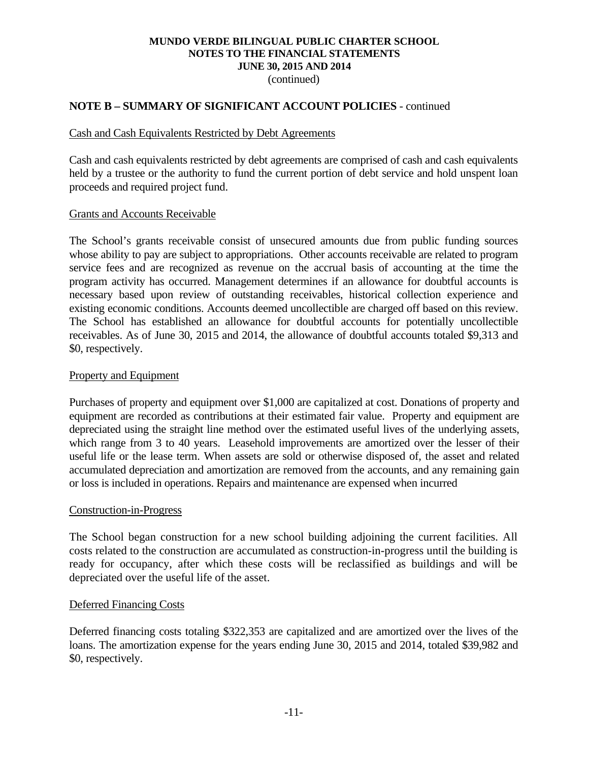## **NOTE B – SUMMARY OF SIGNIFICANT ACCOUNT POLICIES** - continued

#### Cash and Cash Equivalents Restricted by Debt Agreements

Cash and cash equivalents restricted by debt agreements are comprised of cash and cash equivalents held by a trustee or the authority to fund the current portion of debt service and hold unspent loan proceeds and required project fund.

#### Grants and Accounts Receivable

The School's grants receivable consist of unsecured amounts due from public funding sources whose ability to pay are subject to appropriations. Other accounts receivable are related to program service fees and are recognized as revenue on the accrual basis of accounting at the time the program activity has occurred. Management determines if an allowance for doubtful accounts is necessary based upon review of outstanding receivables, historical collection experience and existing economic conditions. Accounts deemed uncollectible are charged off based on this review. The School has established an allowance for doubtful accounts for potentially uncollectible receivables. As of June 30, 2015 and 2014, the allowance of doubtful accounts totaled \$9,313 and \$0, respectively.

#### Property and Equipment

Purchases of property and equipment over \$1,000 are capitalized at cost. Donations of property and equipment are recorded as contributions at their estimated fair value. Property and equipment are depreciated using the straight line method over the estimated useful lives of the underlying assets, which range from 3 to 40 years. Leasehold improvements are amortized over the lesser of their useful life or the lease term. When assets are sold or otherwise disposed of, the asset and related accumulated depreciation and amortization are removed from the accounts, and any remaining gain or loss is included in operations. Repairs and maintenance are expensed when incurred

#### Construction-in-Progress

The School began construction for a new school building adjoining the current facilities. All costs related to the construction are accumulated as construction-in-progress until the building is ready for occupancy, after which these costs will be reclassified as buildings and will be depreciated over the useful life of the asset.

#### Deferred Financing Costs

Deferred financing costs totaling \$322,353 are capitalized and are amortized over the lives of the loans. The amortization expense for the years ending June 30, 2015 and 2014, totaled \$39,982 and \$0, respectively.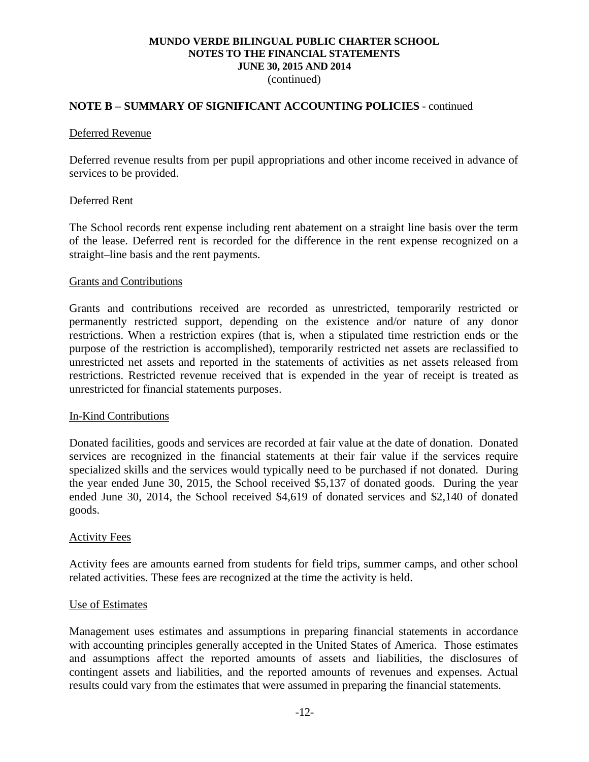### **NOTE B – SUMMARY OF SIGNIFICANT ACCOUNTING POLICIES** - continued

#### Deferred Revenue

Deferred revenue results from per pupil appropriations and other income received in advance of services to be provided.

#### Deferred Rent

The School records rent expense including rent abatement on a straight line basis over the term of the lease. Deferred rent is recorded for the difference in the rent expense recognized on a straight–line basis and the rent payments.

#### Grants and Contributions

Grants and contributions received are recorded as unrestricted, temporarily restricted or permanently restricted support, depending on the existence and/or nature of any donor restrictions. When a restriction expires (that is, when a stipulated time restriction ends or the purpose of the restriction is accomplished), temporarily restricted net assets are reclassified to unrestricted net assets and reported in the statements of activities as net assets released from restrictions. Restricted revenue received that is expended in the year of receipt is treated as unrestricted for financial statements purposes.

#### In-Kind Contributions

Donated facilities, goods and services are recorded at fair value at the date of donation. Donated services are recognized in the financial statements at their fair value if the services require specialized skills and the services would typically need to be purchased if not donated. During the year ended June 30, 2015, the School received \$5,137 of donated goods. During the year ended June 30, 2014, the School received \$4,619 of donated services and \$2,140 of donated goods.

#### Activity Fees

Activity fees are amounts earned from students for field trips, summer camps, and other school related activities. These fees are recognized at the time the activity is held.

#### Use of Estimates

Management uses estimates and assumptions in preparing financial statements in accordance with accounting principles generally accepted in the United States of America. Those estimates and assumptions affect the reported amounts of assets and liabilities, the disclosures of contingent assets and liabilities, and the reported amounts of revenues and expenses. Actual results could vary from the estimates that were assumed in preparing the financial statements.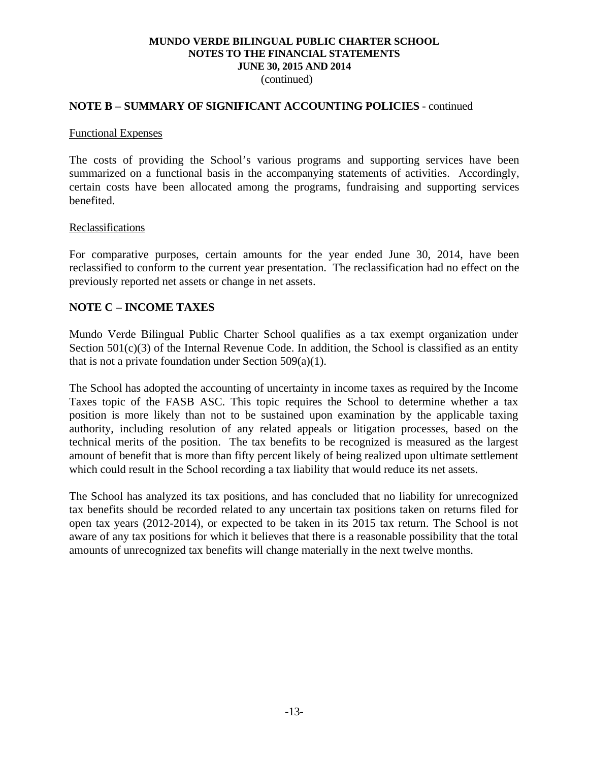(continued)

#### **NOTE B – SUMMARY OF SIGNIFICANT ACCOUNTING POLICIES** - continued

#### Functional Expenses

The costs of providing the School's various programs and supporting services have been summarized on a functional basis in the accompanying statements of activities. Accordingly, certain costs have been allocated among the programs, fundraising and supporting services benefited.

#### Reclassifications

For comparative purposes, certain amounts for the year ended June 30, 2014, have been reclassified to conform to the current year presentation. The reclassification had no effect on the previously reported net assets or change in net assets.

#### **NOTE C – INCOME TAXES**

Mundo Verde Bilingual Public Charter School qualifies as a tax exempt organization under Section 501(c)(3) of the Internal Revenue Code. In addition, the School is classified as an entity that is not a private foundation under Section  $509(a)(1)$ .

The School has adopted the accounting of uncertainty in income taxes as required by the Income Taxes topic of the FASB ASC. This topic requires the School to determine whether a tax position is more likely than not to be sustained upon examination by the applicable taxing authority, including resolution of any related appeals or litigation processes, based on the technical merits of the position. The tax benefits to be recognized is measured as the largest amount of benefit that is more than fifty percent likely of being realized upon ultimate settlement which could result in the School recording a tax liability that would reduce its net assets.

The School has analyzed its tax positions, and has concluded that no liability for unrecognized tax benefits should be recorded related to any uncertain tax positions taken on returns filed for open tax years (2012-2014), or expected to be taken in its 2015 tax return. The School is not aware of any tax positions for which it believes that there is a reasonable possibility that the total amounts of unrecognized tax benefits will change materially in the next twelve months.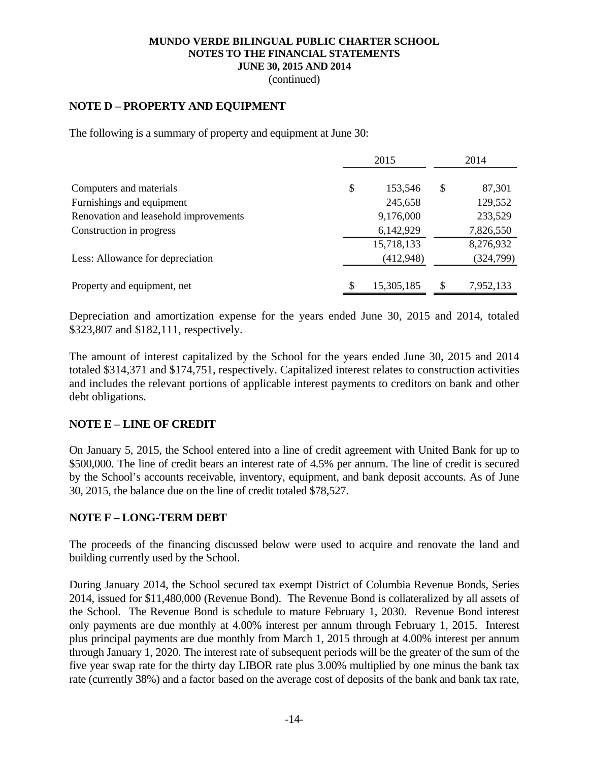(continued)

## **NOTE D – PROPERTY AND EQUIPMENT**

The following is a summary of property and equipment at June 30:

|                                       |    | 2014       |    |           |
|---------------------------------------|----|------------|----|-----------|
| Computers and materials               | \$ | 153,546    | \$ | 87,301    |
| Furnishings and equipment             |    | 245,658    |    | 129,552   |
| Renovation and leasehold improvements |    | 9,176,000  |    | 233,529   |
| Construction in progress              |    | 6,142,929  |    | 7,826,550 |
|                                       |    | 15,718,133 |    | 8,276,932 |
| Less: Allowance for depreciation      |    | (412,948)  |    | (324,799) |
| Property and equipment, net           | £. | 15,305,185 |    | 7,952,133 |

Depreciation and amortization expense for the years ended June 30, 2015 and 2014, totaled \$323,807 and \$182,111, respectively.

The amount of interest capitalized by the School for the years ended June 30, 2015 and 2014 totaled \$314,371 and \$174,751, respectively. Capitalized interest relates to construction activities and includes the relevant portions of applicable interest payments to creditors on bank and other debt obligations.

### **NOTE E – LINE OF CREDIT**

On January 5, 2015, the School entered into a line of credit agreement with United Bank for up to \$500,000. The line of credit bears an interest rate of 4.5% per annum. The line of credit is secured by the School's accounts receivable, inventory, equipment, and bank deposit accounts. As of June 30, 2015, the balance due on the line of credit totaled \$78,527.

### **NOTE F – LONG-TERM DEBT**

The proceeds of the financing discussed below were used to acquire and renovate the land and building currently used by the School.

During January 2014, the School secured tax exempt District of Columbia Revenue Bonds, Series 2014, issued for \$11,480,000 (Revenue Bond). The Revenue Bond is collateralized by all assets of the School. The Revenue Bond is schedule to mature February 1, 2030. Revenue Bond interest only payments are due monthly at 4.00% interest per annum through February 1, 2015. Interest plus principal payments are due monthly from March 1, 2015 through at 4.00% interest per annum through January 1, 2020. The interest rate of subsequent periods will be the greater of the sum of the five year swap rate for the thirty day LIBOR rate plus 3.00% multiplied by one minus the bank tax rate (currently 38%) and a factor based on the average cost of deposits of the bank and bank tax rate,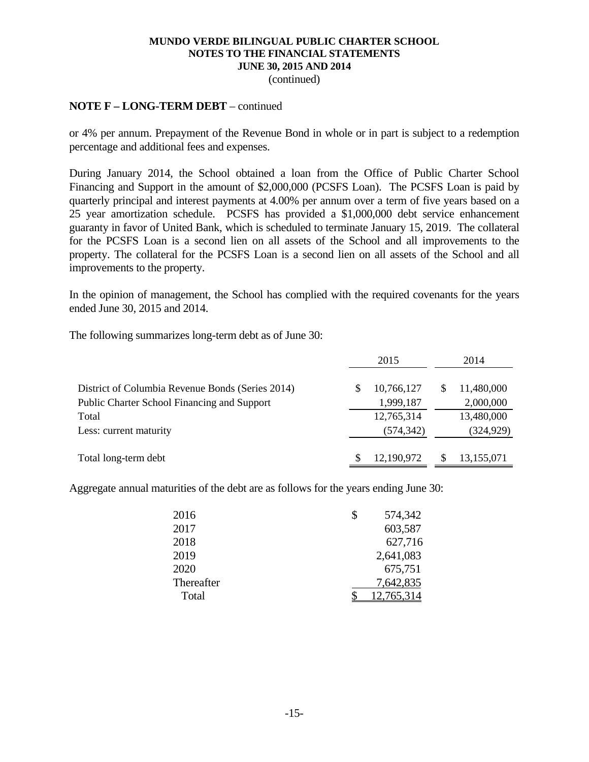### **NOTE F – LONG-TERM DEBT** – continued

or 4% per annum. Prepayment of the Revenue Bond in whole or in part is subject to a redemption percentage and additional fees and expenses.

During January 2014, the School obtained a loan from the Office of Public Charter School Financing and Support in the amount of \$2,000,000 (PCSFS Loan). The PCSFS Loan is paid by quarterly principal and interest payments at 4.00% per annum over a term of five years based on a 25 year amortization schedule. PCSFS has provided a \$1,000,000 debt service enhancement guaranty in favor of United Bank, which is scheduled to terminate January 15, 2019. The collateral for the PCSFS Loan is a second lien on all assets of the School and all improvements to the property. The collateral for the PCSFS Loan is a second lien on all assets of the School and all improvements to the property.

In the opinion of management, the School has complied with the required covenants for the years ended June 30, 2015 and 2014.

The following summarizes long-term debt as of June 30:

|                                                  |   | 2015       | 2014       |
|--------------------------------------------------|---|------------|------------|
| District of Columbia Revenue Bonds (Series 2014) | S | 10,766,127 | 11,480,000 |
| Public Charter School Financing and Support      |   | 1,999,187  | 2,000,000  |
| Total                                            |   | 12,765,314 | 13,480,000 |
| Less: current maturity                           |   | (574, 342) | (324, 929) |
| Total long-term debt                             |   | 12,190,972 | 13,155,071 |

Aggregate annual maturities of the debt are as follows for the years ending June 30:

| 2016       | \$<br>574,342 |
|------------|---------------|
| 2017       | 603,587       |
| 2018       | 627,716       |
| 2019       | 2,641,083     |
| 2020       | 675,751       |
| Thereafter | 7,642,835     |
| Total      | 12,765,314    |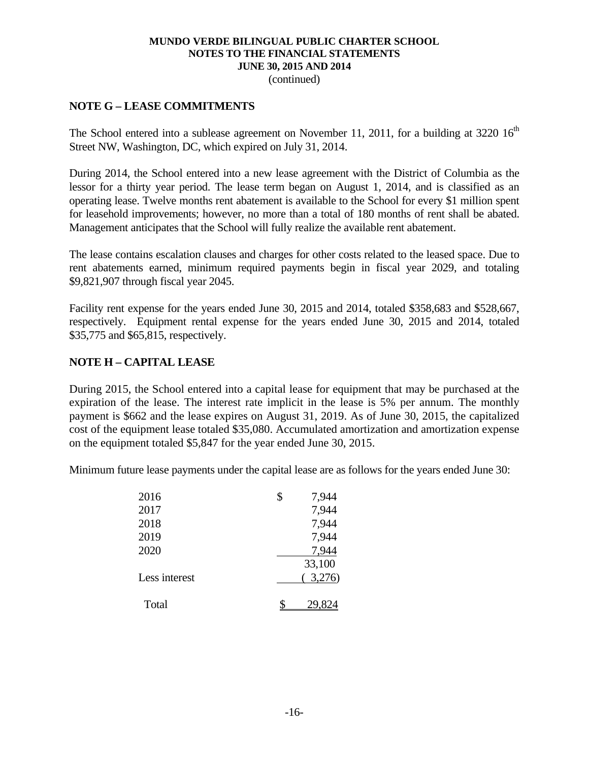## **NOTE G – LEASE COMMITMENTS**

The School entered into a sublease agreement on November 11, 2011, for a building at 3220  $16<sup>th</sup>$ Street NW, Washington, DC, which expired on July 31, 2014.

During 2014, the School entered into a new lease agreement with the District of Columbia as the lessor for a thirty year period. The lease term began on August 1, 2014, and is classified as an operating lease. Twelve months rent abatement is available to the School for every \$1 million spent for leasehold improvements; however, no more than a total of 180 months of rent shall be abated. Management anticipates that the School will fully realize the available rent abatement.

The lease contains escalation clauses and charges for other costs related to the leased space. Due to rent abatements earned, minimum required payments begin in fiscal year 2029, and totaling \$9,821,907 through fiscal year 2045.

Facility rent expense for the years ended June 30, 2015 and 2014, totaled \$358,683 and \$528,667, respectively. Equipment rental expense for the years ended June 30, 2015 and 2014, totaled \$35,775 and \$65,815, respectively.

## **NOTE H – CAPITAL LEASE**

During 2015, the School entered into a capital lease for equipment that may be purchased at the expiration of the lease. The interest rate implicit in the lease is 5% per annum. The monthly payment is \$662 and the lease expires on August 31, 2019. As of June 30, 2015, the capitalized cost of the equipment lease totaled \$35,080. Accumulated amortization and amortization expense on the equipment totaled \$5,847 for the year ended June 30, 2015.

Minimum future lease payments under the capital lease are as follows for the years ended June 30:

| 2016          | \$<br>7,944 |  |
|---------------|-------------|--|
| 2017          | 7,944       |  |
| 2018          | 7,944       |  |
| 2019          | 7,944       |  |
| 2020          | 7,944       |  |
|               | 33,100      |  |
| Less interest | 3,276       |  |
|               |             |  |
| Total         |             |  |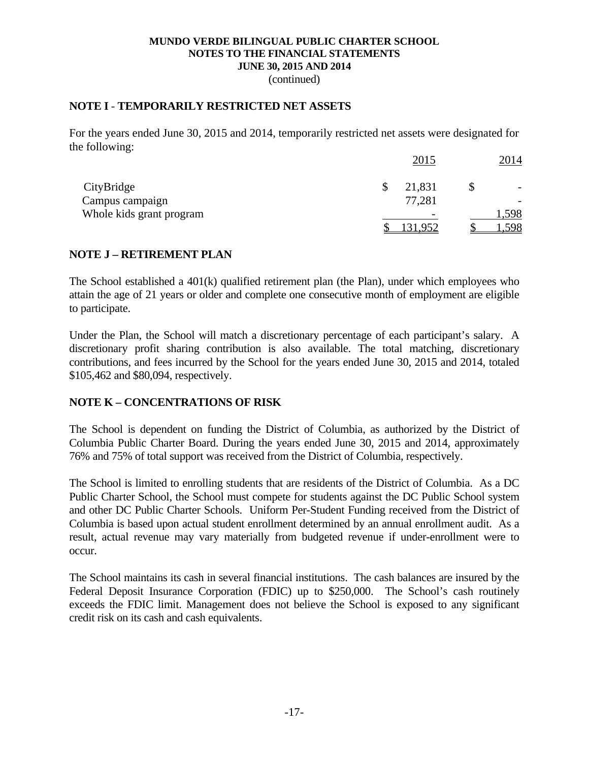## **NOTE I** - **TEMPORARILY RESTRICTED NET ASSETS**

For the years ended June 30, 2015 and 2014, temporarily restricted net assets were designated for the following:

|                          | 2015           | 2014                           |
|--------------------------|----------------|--------------------------------|
| CityBridge               | 21,831         | \$<br>$\overline{\phantom{0}}$ |
| Campus campaign          | 77,281         |                                |
| Whole kids grant program |                | 598                            |
|                          | <u>131,952</u> | .598                           |

## **NOTE J – RETIREMENT PLAN**

The School established a 401(k) qualified retirement plan (the Plan), under which employees who attain the age of 21 years or older and complete one consecutive month of employment are eligible to participate.

Under the Plan, the School will match a discretionary percentage of each participant's salary. A discretionary profit sharing contribution is also available. The total matching, discretionary contributions, and fees incurred by the School for the years ended June 30, 2015 and 2014, totaled \$105,462 and \$80,094, respectively.

## **NOTE K – CONCENTRATIONS OF RISK**

The School is dependent on funding the District of Columbia, as authorized by the District of Columbia Public Charter Board. During the years ended June 30, 2015 and 2014, approximately 76% and 75% of total support was received from the District of Columbia, respectively.

The School is limited to enrolling students that are residents of the District of Columbia. As a DC Public Charter School, the School must compete for students against the DC Public School system and other DC Public Charter Schools. Uniform Per-Student Funding received from the District of Columbia is based upon actual student enrollment determined by an annual enrollment audit. As a result, actual revenue may vary materially from budgeted revenue if under-enrollment were to occur.

The School maintains its cash in several financial institutions. The cash balances are insured by the Federal Deposit Insurance Corporation (FDIC) up to \$250,000. The School's cash routinely exceeds the FDIC limit. Management does not believe the School is exposed to any significant credit risk on its cash and cash equivalents.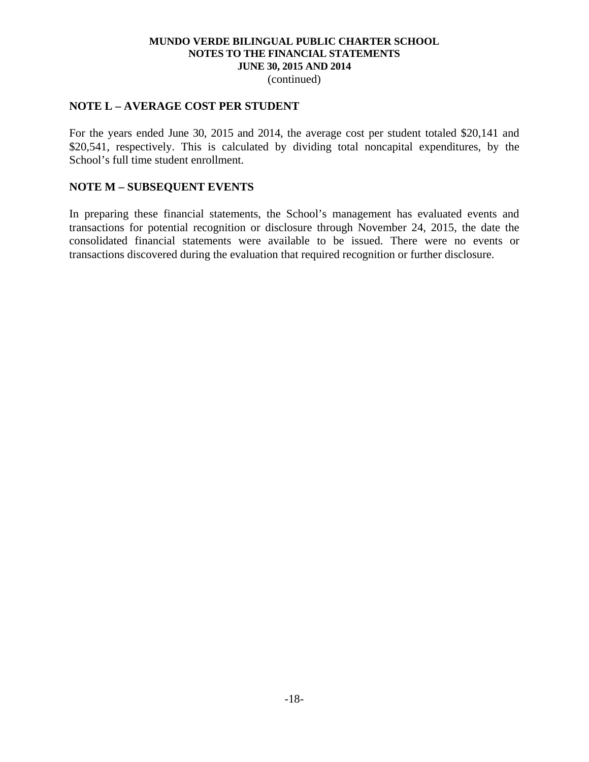## **NOTE L – AVERAGE COST PER STUDENT**

For the years ended June 30, 2015 and 2014, the average cost per student totaled \$20,141 and \$20,541, respectively. This is calculated by dividing total noncapital expenditures, by the School's full time student enrollment.

#### **NOTE M – SUBSEQUENT EVENTS**

In preparing these financial statements, the School's management has evaluated events and transactions for potential recognition or disclosure through November 24, 2015, the date the consolidated financial statements were available to be issued. There were no events or transactions discovered during the evaluation that required recognition or further disclosure.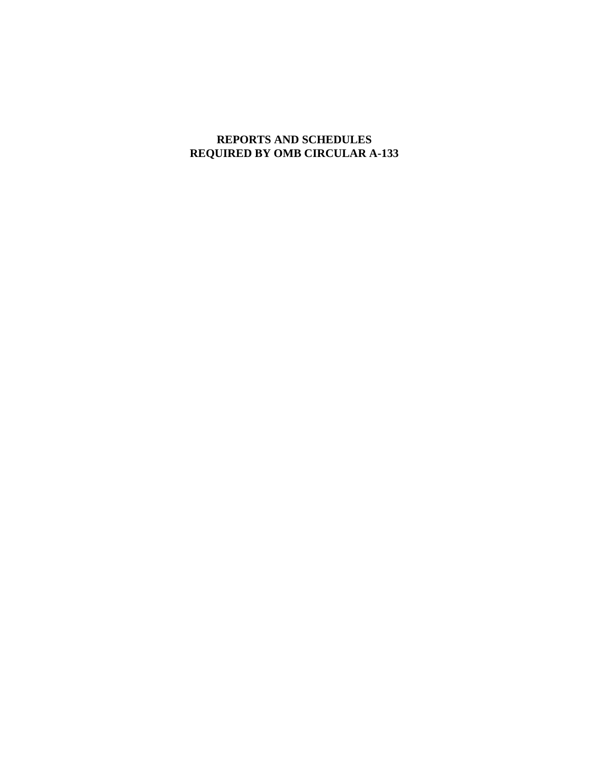## **REPORTS AND SCHEDULES REQUIRED BY OMB CIRCULAR A-133**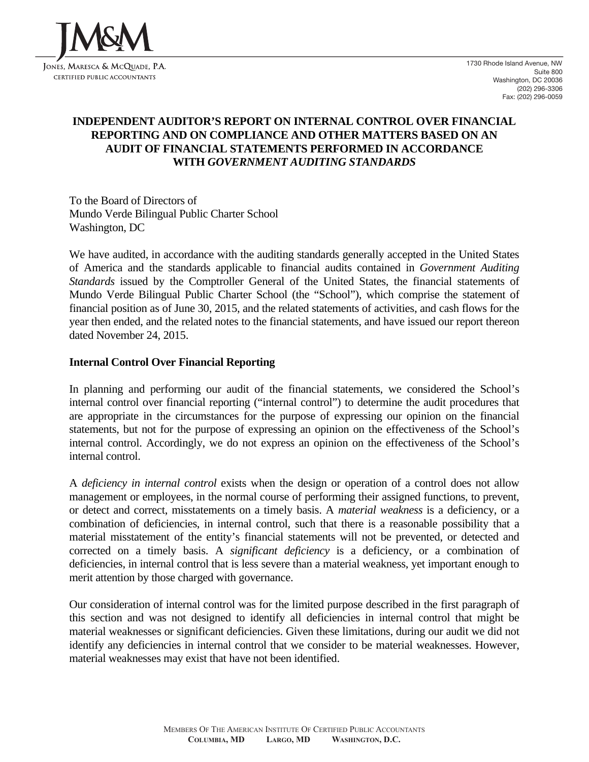

## **INDEPENDENT AUDITOR'S REPORT ON INTERNAL CONTROL OVER FINANCIAL REPORTING AND ON COMPLIANCE AND OTHER MATTERS BASED ON AN AUDIT OF FINANCIAL STATEMENTS PERFORMED IN ACCORDANCE WITH** *GOVERNMENT AUDITING STANDARDS*

To the Board of Directors of Mundo Verde Bilingual Public Charter School Washington, DC

We have audited, in accordance with the auditing standards generally accepted in the United States of America and the standards applicable to financial audits contained in *Government Auditing Standards* issued by the Comptroller General of the United States, the financial statements of Mundo Verde Bilingual Public Charter School (the "School"), which comprise the statement of financial position as of June 30, 2015, and the related statements of activities, and cash flows for the year then ended, and the related notes to the financial statements, and have issued our report thereon dated November 24, 2015.

## **Internal Control Over Financial Reporting**

In planning and performing our audit of the financial statements, we considered the School's internal control over financial reporting ("internal control") to determine the audit procedures that are appropriate in the circumstances for the purpose of expressing our opinion on the financial statements, but not for the purpose of expressing an opinion on the effectiveness of the School's internal control. Accordingly, we do not express an opinion on the effectiveness of the School's internal control.

A *deficiency in internal control* exists when the design or operation of a control does not allow management or employees, in the normal course of performing their assigned functions, to prevent, or detect and correct, misstatements on a timely basis. A *material weakness* is a deficiency, or a combination of deficiencies, in internal control, such that there is a reasonable possibility that a material misstatement of the entity's financial statements will not be prevented, or detected and corrected on a timely basis. A *significant deficiency* is a deficiency, or a combination of deficiencies, in internal control that is less severe than a material weakness, yet important enough to merit attention by those charged with governance.

Our consideration of internal control was for the limited purpose described in the first paragraph of this section and was not designed to identify all deficiencies in internal control that might be material weaknesses or significant deficiencies. Given these limitations, during our audit we did not identify any deficiencies in internal control that we consider to be material weaknesses. However, material weaknesses may exist that have not been identified.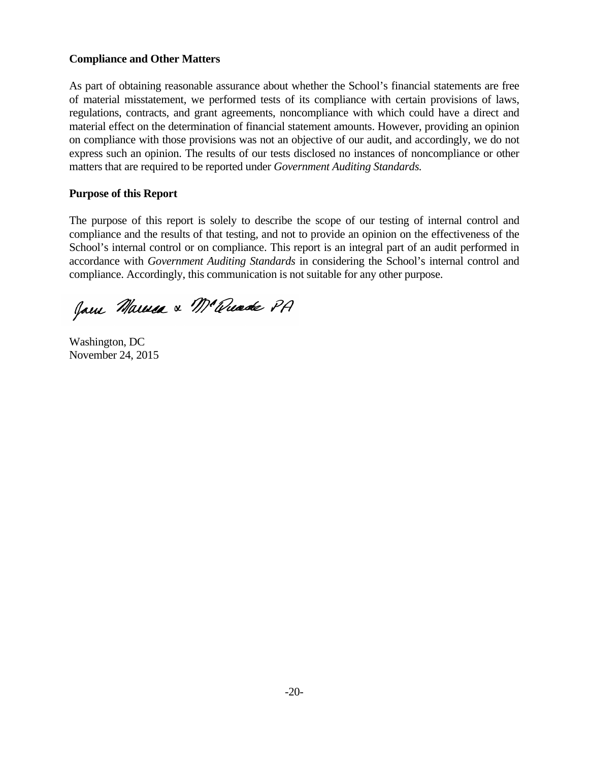## **Compliance and Other Matters**

As part of obtaining reasonable assurance about whether the School's financial statements are free of material misstatement, we performed tests of its compliance with certain provisions of laws, regulations, contracts, and grant agreements, noncompliance with which could have a direct and material effect on the determination of financial statement amounts. However, providing an opinion on compliance with those provisions was not an objective of our audit, and accordingly, we do not express such an opinion. The results of our tests disclosed no instances of noncompliance or other matters that are required to be reported under *Government Auditing Standards.*

## **Purpose of this Report**

The purpose of this report is solely to describe the scope of our testing of internal control and compliance and the results of that testing, and not to provide an opinion on the effectiveness of the School's internal control or on compliance. This report is an integral part of an audit performed in accordance with *Government Auditing Standards* in considering the School's internal control and compliance. Accordingly, this communication is not suitable for any other purpose.

Jam Marcia & Ma Quade PA

Washington, DC November 24, 2015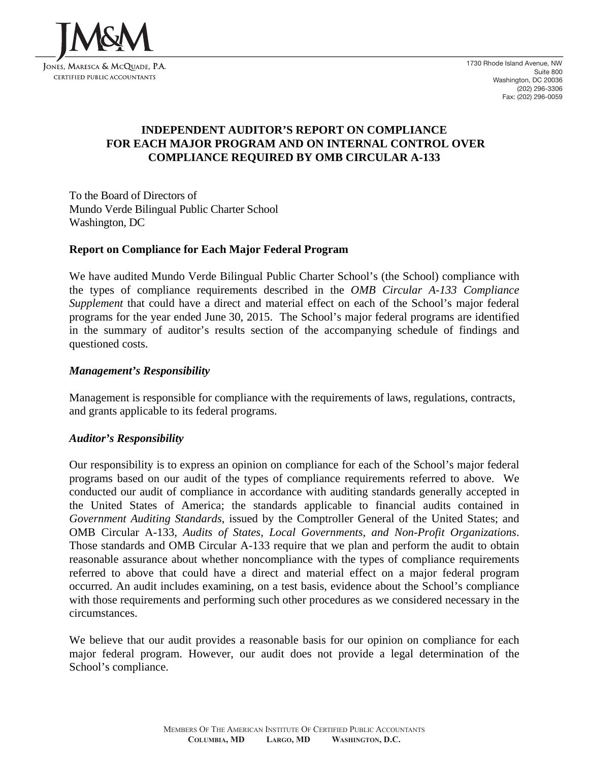

1730 Rhode Island Avenue, NW Suite 800 Washington, DC 20036 (202) 296-3306 Fax: (202) 296-0059

## **INDEPENDENT AUDITOR'S REPORT ON COMPLIANCE FOR EACH MAJOR PROGRAM AND ON INTERNAL CONTROL OVER COMPLIANCE REQUIRED BY OMB CIRCULAR A-133**

To the Board of Directors of Mundo Verde Bilingual Public Charter School Washington, DC

## **Report on Compliance for Each Major Federal Program**

We have audited Mundo Verde Bilingual Public Charter School's (the School) compliance with the types of compliance requirements described in the *OMB Circular A-133 Compliance Supplement* that could have a direct and material effect on each of the School's major federal programs for the year ended June 30, 2015. The School's major federal programs are identified in the summary of auditor's results section of the accompanying schedule of findings and questioned costs.

### *Management's Responsibility*

Management is responsible for compliance with the requirements of laws, regulations, contracts, and grants applicable to its federal programs.

### *Auditor's Responsibility*

Our responsibility is to express an opinion on compliance for each of the School's major federal programs based on our audit of the types of compliance requirements referred to above. We conducted our audit of compliance in accordance with auditing standards generally accepted in the United States of America; the standards applicable to financial audits contained in *Government Auditing Standards*, issued by the Comptroller General of the United States; and OMB Circular A-133, *Audits of States, Local Governments, and Non-Profit Organizations*. Those standards and OMB Circular A-133 require that we plan and perform the audit to obtain reasonable assurance about whether noncompliance with the types of compliance requirements referred to above that could have a direct and material effect on a major federal program occurred. An audit includes examining, on a test basis, evidence about the School's compliance with those requirements and performing such other procedures as we considered necessary in the circumstances.

We believe that our audit provides a reasonable basis for our opinion on compliance for each major federal program. However, our audit does not provide a legal determination of the School's compliance.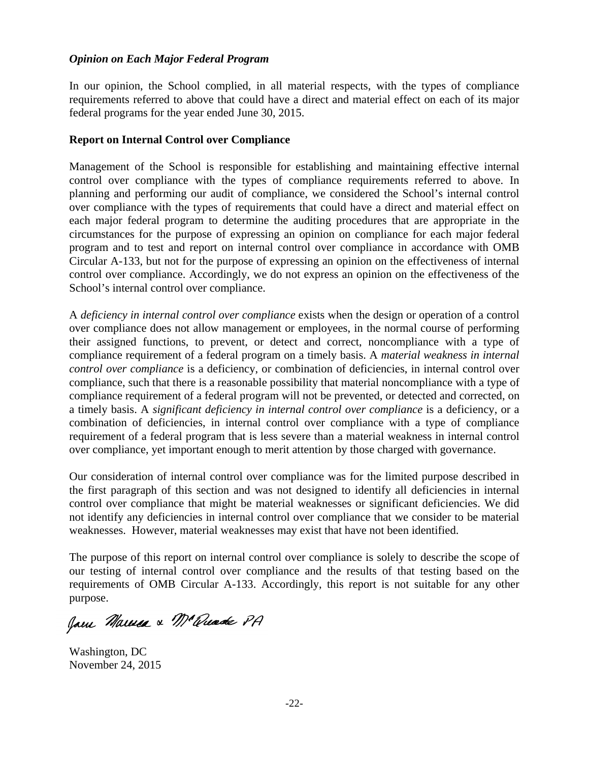## *Opinion on Each Major Federal Program*

In our opinion, the School complied, in all material respects, with the types of compliance requirements referred to above that could have a direct and material effect on each of its major federal programs for the year ended June 30, 2015.

### **Report on Internal Control over Compliance**

Management of the School is responsible for establishing and maintaining effective internal control over compliance with the types of compliance requirements referred to above. In planning and performing our audit of compliance, we considered the School's internal control over compliance with the types of requirements that could have a direct and material effect on each major federal program to determine the auditing procedures that are appropriate in the circumstances for the purpose of expressing an opinion on compliance for each major federal program and to test and report on internal control over compliance in accordance with OMB Circular A-133, but not for the purpose of expressing an opinion on the effectiveness of internal control over compliance. Accordingly, we do not express an opinion on the effectiveness of the School's internal control over compliance.

A *deficiency in internal control over compliance* exists when the design or operation of a control over compliance does not allow management or employees, in the normal course of performing their assigned functions, to prevent, or detect and correct, noncompliance with a type of compliance requirement of a federal program on a timely basis. A *material weakness in internal control over compliance* is a deficiency, or combination of deficiencies, in internal control over compliance, such that there is a reasonable possibility that material noncompliance with a type of compliance requirement of a federal program will not be prevented, or detected and corrected, on a timely basis. A *significant deficiency in internal control over compliance* is a deficiency, or a combination of deficiencies, in internal control over compliance with a type of compliance requirement of a federal program that is less severe than a material weakness in internal control over compliance, yet important enough to merit attention by those charged with governance.

Our consideration of internal control over compliance was for the limited purpose described in the first paragraph of this section and was not designed to identify all deficiencies in internal control over compliance that might be material weaknesses or significant deficiencies. We did not identify any deficiencies in internal control over compliance that we consider to be material weaknesses. However, material weaknesses may exist that have not been identified.

The purpose of this report on internal control over compliance is solely to describe the scope of our testing of internal control over compliance and the results of that testing based on the requirements of OMB Circular A-133. Accordingly, this report is not suitable for any other purpose.

Jam Marie & Ma Quade PA

Washington, DC November 24, 2015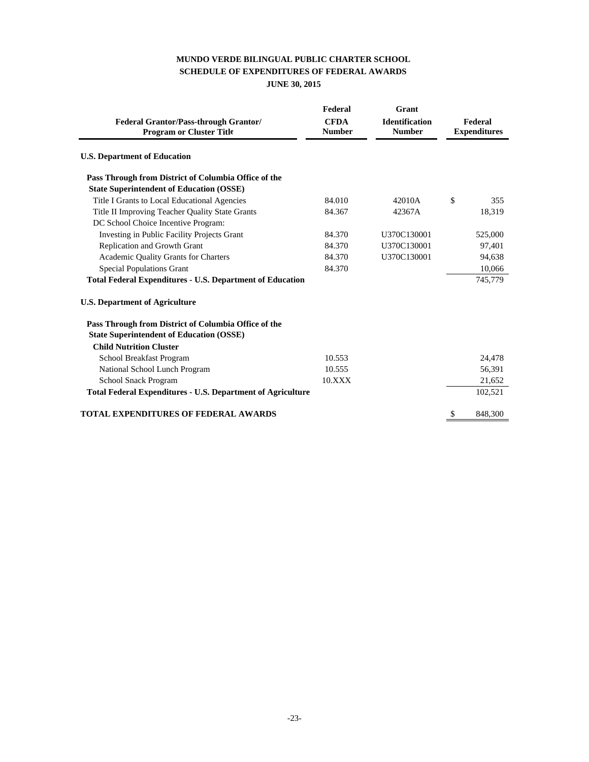#### **MUNDO VERDE BILINGUAL PUBLIC CHARTER SCHOOL SCHEDULE OF EXPENDITURES OF FEDERAL AWARDS JUNE 30, 2015**

| <b>Federal Grantor/Pass-through Grantor/</b><br><b>Program or Cluster Title</b> | Federal<br><b>CFDA</b><br><b>Number</b> | Grant<br><b>Identification</b><br><b>Number</b> | Federal<br><b>Expenditures</b> |         |
|---------------------------------------------------------------------------------|-----------------------------------------|-------------------------------------------------|--------------------------------|---------|
| <b>U.S. Department of Education</b>                                             |                                         |                                                 |                                |         |
| Pass Through from District of Columbia Office of the                            |                                         |                                                 |                                |         |
| <b>State Superintendent of Education (OSSE)</b>                                 |                                         |                                                 |                                |         |
| Title I Grants to Local Educational Agencies                                    | 84.010                                  | 42010A                                          | \$                             | 355     |
| Title II Improving Teacher Quality State Grants                                 | 84.367                                  | 42367A                                          |                                | 18,319  |
| DC School Choice Incentive Program:                                             |                                         |                                                 |                                |         |
| Investing in Public Facility Projects Grant                                     | 84.370                                  | U370C130001                                     |                                | 525,000 |
| Replication and Growth Grant                                                    | 84.370                                  | U370C130001                                     |                                | 97,401  |
| <b>Academic Ouality Grants for Charters</b>                                     | 84.370                                  | U370C130001                                     |                                | 94,638  |
| <b>Special Populations Grant</b>                                                | 84.370                                  |                                                 |                                | 10,066  |
| <b>Total Federal Expenditures - U.S. Department of Education</b>                |                                         |                                                 |                                | 745,779 |
| <b>U.S. Department of Agriculture</b>                                           |                                         |                                                 |                                |         |
| Pass Through from District of Columbia Office of the                            |                                         |                                                 |                                |         |
| <b>State Superintendent of Education (OSSE)</b>                                 |                                         |                                                 |                                |         |
| <b>Child Nutrition Cluster</b>                                                  |                                         |                                                 |                                |         |
| School Breakfast Program                                                        | 10.553                                  |                                                 |                                | 24,478  |
| National School Lunch Program                                                   | 10.555                                  |                                                 |                                | 56,391  |
| School Snack Program                                                            | 10.XXX                                  |                                                 |                                | 21,652  |
| <b>Total Federal Expenditures - U.S. Department of Agriculture</b>              |                                         |                                                 |                                | 102,521 |
| <b>TOTAL EXPENDITURES OF FEDERAL AWARDS</b>                                     |                                         |                                                 | \$                             | 848,300 |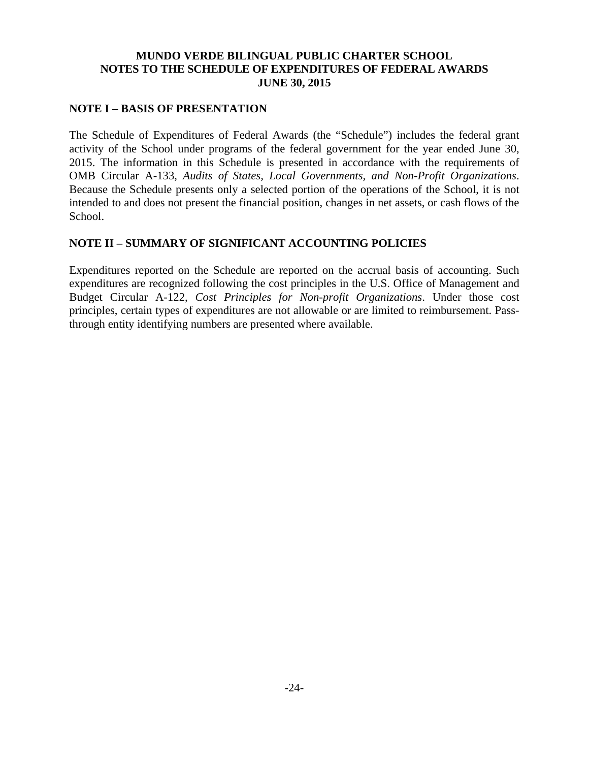## **MUNDO VERDE BILINGUAL PUBLIC CHARTER SCHOOL NOTES TO THE SCHEDULE OF EXPENDITURES OF FEDERAL AWARDS JUNE 30, 2015**

## **NOTE I – BASIS OF PRESENTATION**

The Schedule of Expenditures of Federal Awards (the "Schedule") includes the federal grant activity of the School under programs of the federal government for the year ended June 30, 2015. The information in this Schedule is presented in accordance with the requirements of OMB Circular A-133, *Audits of States, Local Governments, and Non-Profit Organizations*. Because the Schedule presents only a selected portion of the operations of the School, it is not intended to and does not present the financial position, changes in net assets, or cash flows of the School.

## **NOTE II – SUMMARY OF SIGNIFICANT ACCOUNTING POLICIES**

Expenditures reported on the Schedule are reported on the accrual basis of accounting. Such expenditures are recognized following the cost principles in the U.S. Office of Management and Budget Circular A-122, *Cost Principles for Non-profit Organizations*. Under those cost principles, certain types of expenditures are not allowable or are limited to reimbursement. Passthrough entity identifying numbers are presented where available.